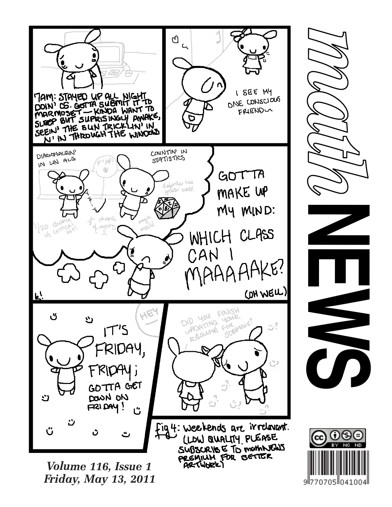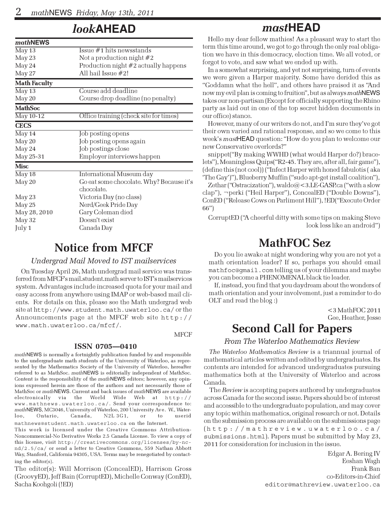## look**AHEAD**

| <i>mathNEWS</i>            |                                                        |
|----------------------------|--------------------------------------------------------|
| May 13                     | Issue #1 hits newsstands                               |
| May 23                     | Not a production night $#2$                            |
| May 24                     | Production night #2 actually happens                   |
| May 27                     | All hail Issue #2!                                     |
| <b>Math Faculty</b>        |                                                        |
| $\overline{\text{May }13}$ | Course add deadline                                    |
| May 20                     | Course drop deadline (no penalty)                      |
| <b>MathSoc</b>             |                                                        |
| May 10-12                  | Office training (check site for times)                 |
| <b>CECS</b>                |                                                        |
| $\overline{\text{May }14}$ | Job posting opens                                      |
| May 20                     | Job posting opens again                                |
| May 24                     | Job postings close                                     |
| May 25-31                  | Employer interviews happen                             |
| <b>Misc</b>                |                                                        |
| $\overline{\text{May}} 18$ | International Museum day                               |
| May 20                     | Go eat some chocolate. Why? Because it's<br>chocolate. |
| May 23                     | Victoria Day (no class)                                |
| May 25                     | Nerd/Geek Pride Day                                    |
| May 28, 2010               | Gary Coleman died                                      |
| May 32                     | Doesn't exist                                          |
| July 1                     | Canada Day                                             |

### Notice from MFCF

#### Undergrad Mail Moved to IST mailservices

On Tuesday April 26, Math undergrad mail service was transferred from MFCF's mail.student.math server to IST's mailservices system. Advantages include increased quota for your mail and easy access from anywhere using IMAP or web-based mail clients. For details on this, please see the Math undergrad web site at http://www.student.math.uwaterloo.ca/ or the Announcements page at the MFCF web site http:// www.math.uwaterloo.ca/mfcf/.

#### ISSN 0705—0410

mathNEWS is normally a fortnightly publication funded by and responsible to the undergraduate math students of the University of Waterloo, as represented by the Mathematics Society of the University of Waterloo, hereafter referred to as MathSoc. mathNEWS is editorially independent of MathSoc. Content is the responsibility of the mathNEWS editors; however, any opinions expressed herein are those of the authors and not necessarily those of MathSoc or mathNEWS. Current and back issues of mathNEWS are available electronically via the World Wide Web at http:// www.mathnews.uwaterloo.ca/. Send your correspondence to: mathNEWS, MC3046, University of Waterloo, 200 University Ave. W., Waterloo, Ontario, Canada, N2L 3G1, or to userid mathnews@student.math.uwaterloo.ca on the Internet.

This work is licensed under the Creative Commons Attribution-Noncommercial-No Derivative Works 2.5 Canada License. To view a copy of this license, visit http://creativecommons.org/licenses/by-ncnd/2.5/ca/ or send a letter to Creative Commons, 559 Nathan Abbott Way, Stanford, California 94305, USA. Terms may be renegotiated by contacting the editor(s).

The editor(s): Will Morrison (ConcealED), Harrison Gross (GroovyED), Jeff Bain (CorruptED), Michelle Conway (ConED), Sacha Koohgoli (!ED)

### mast**HEAD**

Hello my dear fellow mathies! As a pleasant way to start the term this time around, we got to go through the only real obligation we have in this democracy, election time. We all voted, or forgot to vote, and saw what we ended up with.

In a somewhat surprising, and yet not surprising, turn of events we were given a Harper majority. Some have derided this as "Goddamn what the hell", and others have praised it as "And now my evil plan is coming to fruition", but as always mathNEWS takes our non-partisan (Except for officially supporting the Rhino party as laid out in one of the top secret hidden documents in our office) stance.

However, many of our writers do not, and I'm sure they've got their own varied and rational response, and so we come to this week's mastHEAD question: "How do you plan to welcome our new Conservative overlords?"

snippet("By making WWHD (what would Harper do?) bracelets"), Meaningless Quips("R2-45. They are, after all, fair game"), (define this (not cool)) ("Infect Harper with honed fabulotis ( aka 'The Gay')"), Blueberry Muffin ("sudo apt-get install coalition"),

Zethar ("Ostracization"), waldo@<3.LE-GASP.ca ("with a slow clap"), ¬perki ("Heil Harper"), ConcealED ("Double Downs"), ConED ("Release Cows on Parliment Hill"), !ED("Execute Order 66")

CorruptED ("A cheerful ditty with some tips on making Steve look less like an android")

### MathFOC Sez

Do you lie awake at night wondering why you are not yet a math orientation leader? If so, perhaps you should email mathfoc@gmail.com telling us of your dilemma and maybe you can become a PHENOMENAL black tie leader.

If, instead, you find that you daydream about the wonders of math orientation and your involvement, just a reminder to do OLT and read the blog :)

> <3 MathFOC 2011 Gee, Heather, Jesse

# **Second Call for Papers**

From The Waterloo Mathematics Review

The Waterloo Mathematics Review is a triannual journal of mathematical articles written and edited by undergraduates. Its contents are intended for advanced undergraduates pursuing mathematics both at the University of Waterloo and across Canada.

The Review is accepting papers authored by undergraduates across Canada for the second issue. Papers should be of interest and accessible to the undergraduate population, and may cover any topic within mathematics, original research or not. Details on the submission process are available on the submissions page (http://mathreview.uwaterloo.ca/ submissions.html). Papers must be submitted by May 23, 2011 for consideration for inclusion in the issue.

> Edgar A. Bering IV Eeshan Wagh Frank Ban co-Editors-in-Chief editor@mathreview.uwaterloo.ca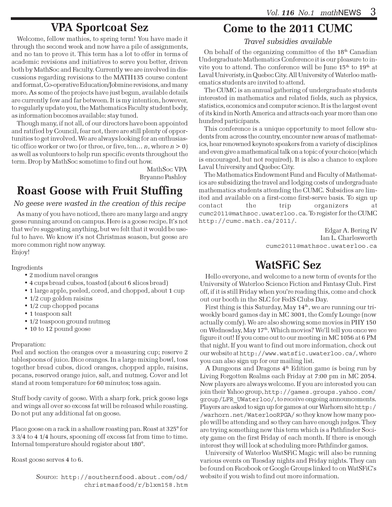# VPA Sportcoat Sez

Welcome, fellow mathies, to spring term! You have made it through the second week and now have a pile of assignments, and no tan to prove it. This term has a lot to offer in terms of academic revisions and initiatives to serve you better, driven both by MathSoc and Faculty. Currently we are involved in discussions regarding revisions to the MATH135 course content and format, Co-operative Education/Jobmine revisions, and many more. As some of the projects have just begun, available details are currently few and far between. It is my intention, however, to regularly update you, the Mathematics Faculty student body, as information becomes available: stay tuned.

Though many, if not all, of our directors have been appointed and ratified by Council, fear not, there are still plenty of opportunities to get involved. We are always looking for an enthusiastic office worker or two (or three, or five, ten... n, where  $n > 0$ ) as well as volunteers to help run specific events throughout the term. Drop by MathSoc sometime to find out how.

> MathSoc VPA Bryanne Pashley

# Roast Goose with Fruit Stuffing

#### No geese were wasted in the creation of this recipe

As many of you have noticed, there are many large and angry geese running around on campus. Here is a goose recipe. It's not that we're suggesting anything, but we felt that it would be useful to have. We know it's not Christmas season, but geese are more common right now anyway. Enjoy!

Ingredients

- 2 medium navel oranges
- 4 cups bread cubes, toasted (about 6 slices bread)
- 1 large apple, peeled, cored, and chopped, about 1 cup
- 1/2 cup golden raisins
- 1/2 cup chopped pecans
- 1 teaspoon salt
- 1/2 teaspoon ground nutmeg
- 10 to 12 pound goose

#### Preparation:

Peel and section the oranges over a measuring cup; reserve 2 tablespoons of juice. Dice oranges. In a large mixing bowl, toss together bread cubes, diced oranges, chopped apple, raisins, pecans, reserved orange juice, salt, and nutmeg. Cover and let stand at room temperature for 60 minutes; toss again.

Stuff body cavity of goose. With a sharp fork, prick goose legs and wings all over so excess fat will be released while roasting. Do not put any additional fat on goose.

Place goose on a rack in a shallow roasting pan. Roast at 325° for 3 3/4 to 4 1/4 hours, spooning off excess fat from time to time. Internal temperature should register about 180°.

Roast goose serves 4 to 6.

Source: http://southernfood.about.com/od/ christmasfood/r/blxm158.htm

# Come to the 2011 CUMC

Travel subsidies available

On behalf of the organizing committee of the  $18<sup>th</sup>$  Canadian Undergraduate Mathematics Conference it is our pleasure to invite you to attend. The conference will be June  $15^{\rm th}$  to  $19^{\rm th}$  at Laval Univeristy, in Quebec City. All University of Waterloo mathematics students are invited to attend.

The CUMC is an annual gathering of undergraduate students interested in mathematics and related fields, such as physics, statistics, economics and computer science. It is the largest event of its kind in North America and attracts each year more than one hundred participants.

This conference is a unique opportunity to meet fellow students from across the country, encounter new areas of mathematics, hear renowned keynote speakers from a variety of disciplines and even give a mathematical talk on a topic of your choice (which is encouraged, but not required). It is also a chance to explore Laval University and Quebec City.

The Mathematics Endowment Fund and Faculty of Mathematics are subsidizing the travel and lodging costs of undergraduate mathematics students attending the CUMC. Subsidies are limited and available on a first-come first-serve basis. To sign up contact the trip organizers at cumc2011@mathsoc.uwaterloo.ca. To register for the CUMC http://cumc.math.ca/2011/.

> Edgar A. Bering IV Ian L. Charlesworth cumc2011@mathsoc.uwaterloo.ca

## WatSFiC Sez

Hello everyone, and welcome to a new term of events for the University of Waterloo Science Fiction and Fantasy Club. First off, if it is still Friday when you're reading this, come and check out our booth in the SLC for FedS Clubs Day.

First thing is this Saturday, May  $14<sup>th</sup>$ , we are running our triweekly board games day in MC 3001, the Comfy Lounge (now actually comfy). We are also showing some movies in PHY 150 on Wednesday, May 17<sup>th</sup>. Which movies? We'll tell you once we figure it out! If you come out to our meeting in MC 1056 at 6 PM that night. If you want to find out more information, check out our website at http://www.watsfic.uwaterloo.ca/, where you can also sign up for our mailing list.

A Dungeons and Dragons  $4<sup>th</sup>$  Edition game is being run by Living Forgotten Realms each Friday at 7:00 pm in MC 2054. New players are always welcome. If you are interested you can join their Yahoo group, http://games.groups.yahoo.com/ group/LFR\_UWaterloo/, to receive ongoing announcements. Players are asked to sign up for games at our Warhorn site http:/ /warhorn.net/WaterlooRPGA/ so they know how many people will be attending and so they can have enough judges. They are trying something new this term which is a Pathfinder Society game on the first Friday of each month. If there is enough interest they will look at scheduling more Pathfinder games.

University of Waterloo WatSFiC Magic will also be running various events on Tuesday nights and Friday nights. They can be found on Facebook or Google Groups linked to on WatSFiC's website if you wish to find out more information.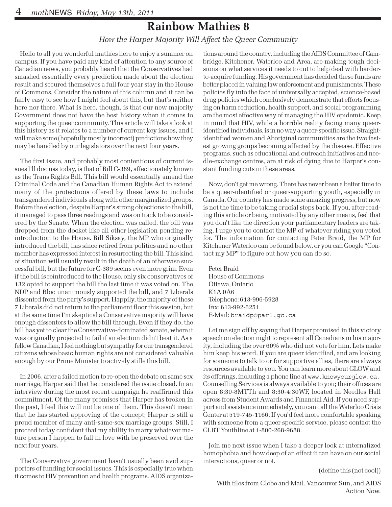### Rainbow Mathies 8

#### How the Harper Majority Will Affect the Queer Community

Hello to all you wonderful mathies here to enjoy a summer on campus. If you have paid any kind of attention to any source of Canadian news, you probably heard that the Conservatives had smashed essentially every prediction made about the election result and secured themselves a full four year stay in the House of Commons. Consider the nature of this column and it can be fairly easy to see how I might feel about this, but that's neither here nor there. What is here, though, is that our new majority Government does not have the best history when it comes to supporting the queer community. This article will take a look at this history as it relates to a number of current key issues, and I will make some (hopefully mostly incorrect) predictions how they may be handled by our legislators over the next four years.

The first issue, and probably most contentious of current issues I'll discuss today, is that of Bill C-389, affectionately known as the Trans Rights Bill. This bill would essentially amend the Criminal Code and the Canadian Human Rights Act to extend many of the protections offered by these laws to include transgendered individuals along with other marginalized groups. Before the election, despite Harper's strong objections to the bill, it managed to pass three readings and was on track to be considered by the Senate. When the election was called, the bill was dropped from the docket like all other legislation pending reintroduction to the House. Bill Siksay, the MP who originally introduced the bill, has since retired from politics and no other member has expressed interest in resurrecting the bill. This kind of situation will usually result in the death of an otherwise successful bill, but the future for C-389 seems even more grim. Even if the bill is reintroduced to the House, only six conservatives of 132 opted to support the bill the last time it was voted on. The NDP and Bloc unanimously supported the bill, and 7 Liberals dissented from the party's support. Happily, the majority of these 7 Liberals did not return to the parliament floor this session, but at the same time I'm skeptical a Conservative majority will have enough dissenters to allow the bill through. Even if they do, the bill has yet to clear the Conservative-dominated senate, where it was originally projected to fail if an election didn't beat it. As a fellow Canadian, I feel nothing but sympathy for our transgendered citizens whose basic human rights are not considered valuable enough by our Prime Minister to actively stifle this bill.

In 2006, after a failed motion to re-open the debate on same sex marriage, Harper said that he considered the issue closed. In an interview during the most recent campaign he reaffirmed this commitment. Of the many promises that Harper has broken in the past, I feel this will not be one of them. This doesn't mean that he has started approving of the concept; Harper is still a proud member of many anti-same-sex marriage groups. Still, I proceed today confident that my ability to marry whatever mature person I happen to fall in love with be preserved over the next four years.

The Conservative government hasn't usually been avid supporters of funding for social issues. This is especially true when it comes to HIV prevention and health programs. AIDS organiza-

tions around the country, including the AIDS Committee of Cambridge, Kitchener, Waterloo and Area, are making tough decisions on what services it needs to cut to help deal with harderto-acquire funding. His government has decided these funds are better placed in valuing law enforcement and punishments. These policies fly into the face of universally accepted, science-based drug policies which conclusively demonstrate that efforts focusing on harm reduction, health support, and social programming are the most effective way of managing the HIV epidemic. Keep in mind that HIV, while a horrible reality facing many queeridentified individuals, is in no way a queer-specific issue. Straightidentified women and Aboriginal communities are the two fastest growing groups becoming affected by the disease. Effective programs, such as educational and outreach initiatives and needle-exchange centres, are at risk of dying due to Harper's constant funding cuts in these areas.

Now, don't get me wrong. There has never been a better time to be a queer-identified or queer-supporting youth, especially in Canada. Our country has made some amazing progress, but now is not the time to be taking crucial steps back. If you, after reading this article or being motivated by any other means, feel that you don't like the direction your parliamentary leaders are taking, I urge you to contact the MP of whatever riding you voted for. The information for contacting Peter Braid, the MP for Kitchener Waterloo can be found below, or you can Google "Contact my MP" to figure out how you can do so.

Peter Braid House of Commons Ottawa, Ontario K1A 0A6 Telephone: 613-996-5928 Fax: 613-992-6251 E-Mail: braidp@parl.gc.ca

Let me sign off by saying that Harper promised in this victory speech on election night to represent all Canadians in his majority, including the over 60% who did not vote for him. Lets make him keep his word. If you are queer identified, and are looking for someone to talk to or for supportive allies, there are always resources available to you. You can learn more about GLOW and its offerings, including a phone line at www.knowyourglow.ca. Counselling Services is always available to you; their offices are open 8:30-8MTTh and 8:30-4:30WF, located in Needles Hall across from Student Awards and Financial Aid. If you need support and assistance immediately, you can call the Waterloo Crisis Center at 519-745-1166. If you'd feel more comfortable speaking with someone from a queer specific service, please contact the GLBT Youthline at 1-800-268-9688.

Join me next issue when I take a deeper look at internalized homophobia and how deep of an effect it can have on our social interactions, queer or not.

(define this (not cool))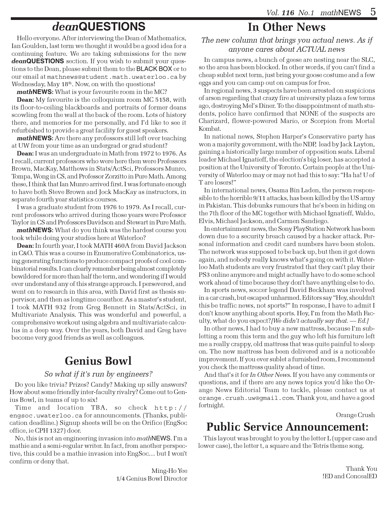# dean**QUESTIONS**

Hello everyone. After interviewing the Dean of Mathematics, Ian Goulden, last term we thought it would be a good idea for a continuing feature. We are taking submissions for the new dean**QUESTIONS** section. If you wish to submit your questions to the Dean, please submit them to the BLACK BOX or to our email at mathnews@student.math.uwaterloo.ca by Wednesday, May  $18<sup>th</sup>$ . Now, on with the questions!

math**NEWS**: What is your favourite room in the MC?

Dean: My favourite is the colloquium room MC 5158, with its floor-to-ceiling blackboards and portraits of former deans scowling from the wall at the back of the room. Lots of history there, and memories for me personally, and I'd like to see it refurbished to provide a great facility for guest speakers.

math**NEWS**: Are there any professors still left over teaching at UW from your time as an undergrad or grad student?

Dean: I was an undergraduate in Math from 1972 to 1976. As I recall, current professors who were here then were Professors Brown, MacKay, Matthews in Stats/ActSci, Professors Munro, Tompa, Wong in CS, and Professor Zorzitto in Pure Math. Among these, I think that Ian Munro arrived first. I was fortunate enough to have both Steve Brown and Jock MacKay as instructors, in separate fourth year statistics courses.

I was a graduate student from 1976 to 1979. As I recall, current professors who arrived during those years were Professor Taylor in CS and Professors Davidson and Stewart in Pure Math.

math**NEWS**: What do you think was the hardest course you took while doing your studies here at Waterloo?

Dean: In fourth year, I took MATH 460A from David Jackson in C&O. This was a course in Enumerative Combinatorics, using generating functions to produce compact proofs of cool combinatorial results. I can clearly remember being almost completely bewildered for more than half the term, and wondering if I would ever understand any of this strange approach. I persevered, and went on to research in this area, with David first as thesis supervisor, and then as longtime coauthor. As a master's student, I took MATH 932 from Greg Bennett in Stats/ActSci, in Multivariate Analysis. This was wonderful and powerful, a comprehensive workout using algebra and multivariate calculus in a deep way. Over the years, both David and Greg have become very good friends as well as colleagues.

## Genius Bowl

#### So what if it's run by engineers?

Do you like trivia? Prizes? Candy? Making up silly answers? How about some friendly inter-faculty rivalry? Come out to Genius Bowl, in teams of up to six!

Time and location TBA, so check http:// engsoc.uwaterloo.ca for announcements. (Thanks, publication deadline.) Signup sheets will be on the Orifice (EngSoc office, ie CPH 1327) door.

No, this is not an engineering invasion into mathNEWS. I'm a mathie and a semi-regular writer. In fact, from another perspective, this could be a mathie invasion into EngSoc… but I won't confirm or deny that.

> Ming-Ho Yee 1/4 Genius Bowl Director

# In Other News

#### The new column that brings you actual news. As if anyone cares about ACTUAL news

In campus news, a bunch of geese are nesting near the SLC, so the area has been blocked. In other words, if you can't find a cheap sublet next term, just bring your goose costume and a few eggs and you can camp out on campus for free.

In regional news, 3 suspects have been arrested on suspicions of arson regarding that crazy fire at university plaza a few terms ago, destroying Mel's Diner. To the disappointment of math students, police have confirmed that NONE of the suspects are Charizard, flower-powered Mario, or Scorpion from Mortal Kombat.

In national news, Stephen Harper's Conservative party has won a majority government, with the NDP, lead by Jack Layton, gaining a historically large number of opposition seats. Liberal leader Michael Ignatieff, the election's big loser, has accepted a position at the University of Toronto. Certain people at the University of Waterloo may or may not had this to say: "Ha ha! U of T are losers!"

In international news, Osama Bin Laden, the person responsible to the horrible 9/11 attacks, has been killed by the US army in Pakistan. This debunks rumours that he's been in hiding on the 7th floor of the MC together with Michael Ignatieff, Waldo, Elvis, Michael Jackson, and Carmen Sandiego.

In entertainment news, the Sony PlayStation Network has been down due to a security breach caused by a hacker attack. Personal information and credit card numbers have been stolen. The network was supposed to be back up, but then it got down again, and nobody really knows what's going on with it. Waterloo Math students are very frustrated that they can't play their PS3 online anymore and might actually have to do some school work ahead of time because they don't have anything else to do.

In sports news, soccer legend David Beckham was involved in a car crash, but escaped unharmed. Editors say "Hey, shouldn't this be traffic news, not sports?" In response, I have to admit I don't know anything about sports. Hey, I'm from the Math Faculty, what do you expect? [We didn't actually say that.  $-Ed$ .]

In other news, I had to buy a new mattress, because I'm subletting a room this term and the guy who left his furniture left me a really crappy, old mattress that was quite painful to sleep on. The new mattress has been delivered and is a noticeable improvement. If you ever sublet a furnished room, I recommend you check the mattress quality ahead of time.

And that's it for In Other News. If you have any comments or questions, and if there are any news topics you'd like the Orange News Editorial Team to tackle, please contact us at orange.crush.uw@gmail.com. Thank you, and have a good fortnight.

Orange Crush

### Public Service Announcement:

This layout was brought to you by the letter L (upper case and lower case), the letter t, a square and the Tetris theme song.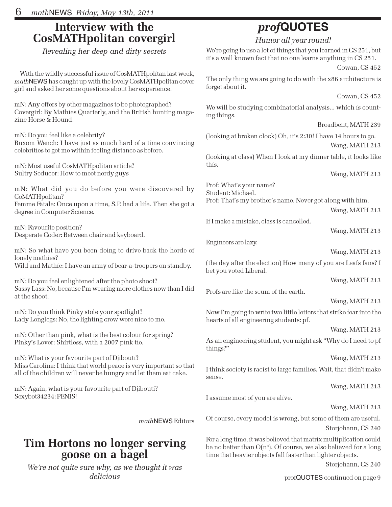### Interview with the CosMATHpolitan covergirl

Revealing her deep and dirty secrets

With the wildly successful issue of CosMATHpolitan last week, mathNEWS has caught up with the lovely CosMATHpolitan cover girl and asked her some questions about her experience.

mN: Any offers by other magazines to be photographed? Covergirl: By Mathies Quarterly, and the British hunting magazine Horse & Hound.

mN: Do you feel like a celebrity?

Buxom Wench: I have just as much hard of a time convincing celebrities to get me within feeling distance as before.

mN: Most useful CosMATHpolitan article? Sultry Seducer: How to meet nerdy guys

mN: What did you do before you were discovered by CoMATHpolitan?

Femme Fatale: Once upon a time, S.P. had a life. Then she got a degree in Computer Science.

mN: Favourite position? Desperate Coder: Between chair and keyboard.

mN: So what have you been doing to drive back the horde of lonely mathies? Wild and Mathie: I have an army of bear-a-troopers on standby.

mN: Do you feel enlightened after the photo shoot? Sassy Lass: No, because I'm wearing more clothes now than I did at the shoot.

mN: Do you think Pinky stole your spotlight? Lady Longlegs: No, the lighting crew were nice to me.

mN: Other than pink, what is the best colour for spring? Pinky's Lover: Shirtless, with a 2007 pink tie.

mN: What is your favourite part of Djibouti? Miss Carolina: I think that world peace is very important so that all of the children will never be hungry and let them eat cake.

mN: Again, what is your favourite part of Djibouti? Sexybot34234: PENIS!

mathNEWS Editors

# Tim Hortons no longer serving goose on a bagel

We're not quite sure why, as we thought it was delicious

# prof**QUOTES**

Humor all year round!

We're going to use a lot of things that you learned in CS 251, but it's a well known fact that no one learns anything in CS 251.

Cowan, CS 452

The only thing we are going to do with the x86 architecture is forget about it.

Cowan, CS 452

We will be studying combinatorial analysis... which is counting things.

Broadbent, MATH 239

(looking at broken clock) Oh, it's 2:30! I have 14 hours to go. Wang, MATH 213

(looking at class) When I look at my dinner table, it looks like this.

Wang, MATH 213

Prof: What's your name? Student: Michael.

Prof: That's my brother's name. Never got along with him.

Wang, MATH 213

If I make a mistake, class is cancelled.

Wang, MATH 213

Engineers are lazy.

Wang, MATH 213

(the day after the election) How many of you are Leafs fans? I bet you voted Liberal.

Wang, MATH 213

Profs are like the scum of the earth.

#### Wang, MATH 213

Now I'm going to write two little letters that strike fear into the hearts of all engineering students: pf.

Wang, MATH 213

As an engineering student, you might ask "Why do I need to pf things?"

Wang, MATH 213

I think society is racist to large families. Wait, that didn't make sense.

Wang, MATH 213

I assume most of you are alive.

#### Wang, MATH 213

Of course, every model is wrong, but some of them are useful. Storjohann, CS 240

For a long time, it was believed that matrix multiplication could be no better than O(n3). Of course, we also believed for a long time that heavier objects fall faster than lighter objects.

Storjohann, CS 240

profQUOTES continued on page 9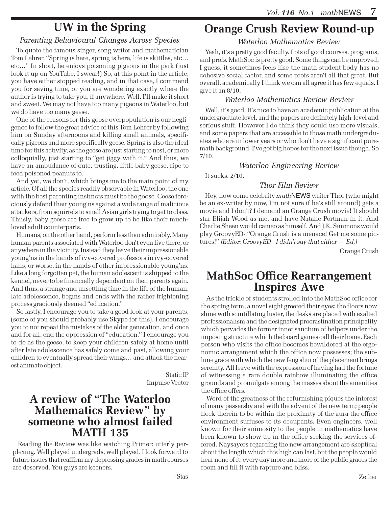## UW in the Spring

#### Parenting Behavioural Changes Across Species

To quote the famous singer, song writer and mathematician Tom Lehrer, "Spring is here, spring is here, life is skittles, etc… etc…" In short, he enjoys poisoning pigeons in the park (just look it up on YouTube, I swear!) So, at this point in the article, you have either stopped reading, and in that case, I commend you for saving time, or you are wondering exactly where the author is trying to take you, if anywhere. Well, I'll make it short and sweet. We may not have too many pigeons in Waterloo, but we do have too many geese.

One of the reasons for this goose overpopulation is our negligence to follow the great advice of this Tom Lehrer by following him on Sunday afternoons and killing small animals, specifically pigeons and more specifically geese. Spring is also the ideal time for this activity, as the geese are just starting to nest, or more colloquially, just starting to "get jiggy with it." And thus, we have an ambudance of cute, trusting, little baby geese, ripe to feed poisoned peanuts to.

And yet, we don't, which brings me to the main point of my article. Of all the species readily observable in Waterloo, the one with the best parenting instincts must be the goose. Geese ferociously defend their young'ns against a wide range of malicious attackers, from squirrels to small Asian girls trying to get to class. Thusly, baby geese are free to grow up to be like their muchloved adult counterparts.

Humans, on the other hand, perform less than admirably. Many human parents associated with Waterloo don't even live there, or anywhere in the vicinity. Instead they leave their impressionable young'ns in the hands of ivy-covered professors in ivy-covered halls, or worse, in the hands of other impressionable young'ns. Like a long forgotten pet, the human adolescent is shipped to the kennel, never to be financially dependant on their parents again. And thus, a strange and unsettling time in the life of the human, late adolescence, begins and ends with the rather frightening process graciously deemed "education."

So lastly, I encourage you to take a good look at your parents, (some of you should probably use Skype for this). I encourage you to not repeat the mistakes of the elder generation, and once and for all, end the oppression of "education." I encourage you to do as the geese, to keep your children safely at home until after late adolescence has safely come and past, allowing your children to eventually spread their wings… and attack the nearest animate object.

> Static IP Impulse Vector

### A review of "The Waterloo Mathematics Review" by someone who almost failed MATH 135

Reading the Review was like watching Primer: utterly perplexing. Well played undergrads, well played. I look forward to future issues that reaffirm my depressing grades in math courses are deserved. You guys are keeners.

# Orange Crush Review Round-up

#### Waterloo Mathematics Review

Yeah, it's a pretty good faculty. Lots of good courses, programs, and profs. MathSoc is pretty good. Some things can be improved, I guess, it sometimes feels like the math student body has no cohesive social factor, and some profs aren't all that great. But overall, academically I think we can all agree it has few equals. I give it an 8/10.

#### Waterloo Mathematics Review Review

Well, it's good. It's nice to have an academic publication at the undergraduate level, and the papers are definitely high-level and serious stuff. However I do think they could use more visuals, and some papers that are accessible to those math undergraduates who are in lower years or who don't have a significant puremath background. I've got big hopes for the next issue though. So 7/10.

#### Waterloo Engineering Review

It sucks. 2/10.

#### Thor Film Review

Hey, how come celebrity mathNEWS writer Thor (who might be an ex-writer by now, I'm not sure if he's still around) gets a movie and I don't? I demand an Orange Crush movie! It should star Elijah Wood as me, and have Natalie Portman in it. And Charlie Sheen would cameo as himself. And J.K. Simmons would play GroovyED- "Orange Crush is a menace! Get me some pictures!" [Editor: GroovyED - I didn't say that either — Ed.]

Orange Crush

### MathSoc Office Rearrangement Inspires Awe

As the trickle of students strolled into the MathSoc office for the spring term, a novel sight greeted their eyes: the floors now shine with scintillating luster, the desks are placed with exalted professionalism and the designated procrastination principality which pervades the former inner sanctum of helpers under the imposing structure which the board games call their home. Each person who visits the office becomes bewildered at the ergonomic arrangement which the office now possesses; the sublime grace with which the new feng shui of the placement brings serenity. All leave with the expression of having had the fortune of witnessing a rare double rainbow illuminating the office grounds and promulgate among the masses about the amenities the office offers.

Word of the greatness of the refurnishing piques the interest of many passersby and with the advent of the new term; people flock therein to be within the proximity of the aura the office environment suffuses to its occupants. Even engineers, well known for their animosity to the people in mathematics have been known to show up in the office seeking the services offered. Naysayers regarding the new arrangement are skeptical about the length which this high can last, but the people would hear none of it: every day more and more of the public graces the room and fill it with rapture and bliss.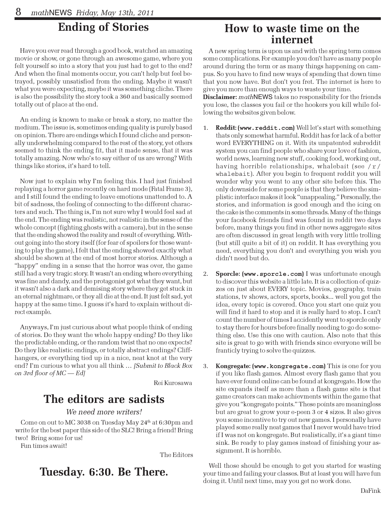# Ending of Stories

Have you ever read through a good book, watched an amazing movie or show, or gone through an awesome game, where you felt yourself so into a story that you just had to get to the end? And when the final moments occur, you can't help but feel betrayed, possibly unsatisfied from the ending. Maybe it wasn't what you were expecting, maybe it was something cliche. There is also the possibility the story took a 360 and basically seemed totally out of place at the end.

An ending is known to make or break a story, no matter the medium. The issue is, sometimes ending quality is purely based on opinion. There are endings which I found cliche and personally underwhelming compared to the rest of the story, yet others seemed to think the ending fit, that it made sense, that it was totally amazing. Now who's to say either of us are wrong? With things like stories, it's hard to tell.

Now just to explain why I'm feeling this. I had just finished replaying a horror game recently on hard mode (Fatal Frame 3), and I still found the ending to leave emotions unattended to. A bit of sadness, the feeling of connecting to the different characters and such. The thing is, I'm not sure why I would feel sad at the end. The ending was realistic, not realistic in the sense of the whole concept (fighting ghosts with a camera), but in the sense that the ending showed the reality and result of everything. Without going into the story itself (for fear of spoilers for those wanting to play the game), I felt that the ending showed exactly what should be shown at the end of most horror stories. Although a "happy" ending in a sense that the horror was over, the game still had a very tragic story. It wasn't an ending where everything was fine and dandy, and the protagonist got what they want, but it wasn't also a dark and demising story where they get stuck in an eternal nightmare, or they all die at the end. It just felt sad, yet happy at the same time. I guess it's hard to explain without direct example.

Anyways, I'm just curious about what people think of ending of stories. Do they want the whole happy ending? Do they like the predictable ending, or the random twist that no one expects? Do they like realistic endings, or totally abstract endings? Cliffhangers, or everything tied up in a nice, neat knot at the very end? I'm curious to what you all think ... [Submit to Black Box on 3rd floor of  $MC - Ed$ 

Rei Kurosawa

## The editors are sadists

#### We need more writers!

Come on out to MC 3038 on Tuesday May 24<sup>th</sup> at 6:30pm and write for the best paper this side of the SLC! Bring a friend! Bring two! Bring some for us!

Fun times await!

The Editors

### Tuesday. 6:30. Be There.

### How to waste time on the internet

A new spring term is upon us and with the spring term comes some complications. For example you don't have as many people around during the term or as many things happening on campus. So you have to find new ways of spending that down time that you now have. But don't you fret. The internet is here to give you more than enough ways to waste your time.

**Disclaimer:** mathNEWS takes no responsibility for the friends you lose, the classes you fail or the hookers you kill while following the websites given below.

- 1. Reddit: (**www.reddit.com**) Well let's start with something thats only somewhat harmful. Reddit has for lack of a better word EVERYTHING on it. With its unpatented subreddit system you can find people who share your love of fashion, world news, learning new stuff, cooking food, working out, having horrible relationships, whalebait (see  $/r/$ whalebait). After you begin to frequent reddit you will wonder why you went to any other site before this. The only downside for some people is that they believe the simplistic interface makes it look "unappealing." Personally, the stories, and information is good enough and the icing on the cake is the comments in some threads. Many of the things your facebook friends find was found in reddit two days before, many things you find in other news aggregate sites are often discussed in great length with very little trolling (but still quite a bit of it) on reddit. It has everything you need, everything you don't and everything you wish you didn't need but do.
- 2. Sporcle: (**www.sporcle.com**) I was unfortunate enough to discover this website a little late. It is a collection of quizzes on just about EVERY topic. Movies, geography, train stations, tv shows, actors, sports, books... well you get the idea, every topic is covered. Once you start one quiz you will find it hard to stop and it is really hard to stop. I can't count the number of times I accidently went to sporcle only to stay there for hours before finally needing to go do something else. Use this one with caution. Also note that this site is great to go with with friends since everyone will be franticly trying to solve the quizzes.
- 3. Kongregate: (**www.kongregate.com**) This is one for you if you like flash games. Almost every flash game that you have ever found online can be found at kongregate. How the site expands itself as more than a flash game site is that game creators can make achievments within the game that give you "kongregate points." These points are meaningless but are great to grow your e-peen 3 or 4 sizes. It also gives you some incentive to try out new games. I personally have played some really neat games that I never would have tried if I was not on kongregate. But realistically, it's a giant time sink. Be ready to play games instead of finishing your assignment. It is horrible.

Well those should be enough to get you started for wasting your time and failing your classes. But at least you will have fun doing it. Until next time, may you get no work done.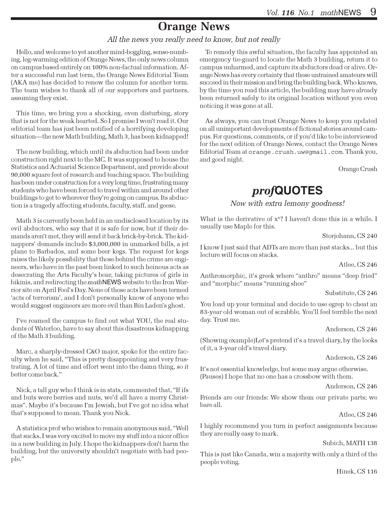# Orange News

#### All the news you really need to know, but not really

Hello, and welcome to yet another mind-boggling, sense-numbing, leg-warming edition of Orange News, the only news column on campus based entirely on 100% non-factual information. After a successful run last term, the Orange News Editorial Team (AKA me) has decided to renew the column for another term. The team wishes to thank all of our supporters and partners, assuming they exist.

This time, we bring you a shocking, even disturbing, story that is not for the weak hearted. So I promise I won't read it. Our editorial team has just been notified of a horrifying developing situation—the new Math building, Math 3, has been kidnapped!

The new building, which until its abduction had been under construction right next to the MC. It was supposed to house the Statistics and Actuarial Science Department, and provide about 90,000 square feet of research and teaching space. The building has been under construction for a very long time, frustrating many students who have been forced to travel within and around other buildings to get to wherever they're going on campus. Its abduction is a tragedy affecting students, faculty, staff, and geese.

Math 3 is currently been held in an undisclosed location by its evil abductors, who say that it is safe for now, but if their demands aren't met, they will send it back brick-by-brick. The kidnappers' demands include \$3,000,000 in unmarked bills, a jet plane to Barbados, and some beer kegs. The request for kegs raises the likely possibility that those behind the crime are engineers, who have in the past been linked to such heinous acts as desecrating the Arts Faculty's boar, taking pictures of girls in bikinis, and redirecting the *math* NEWS website to the Iron Warrior site on April Fool's Day. None of these acts have been termed 'acts of terrorism', and I don't personally know of anyone who would suggest engineers are more evil than Bin Laden's ghost.

I've roamed the campus to find out what YOU, the real students of Waterloo, have to say about this disastrous kidnapping of the Math 3 building.

Marc, a sharply-dressed C&O major, spoke for the entire faculty when he said, "This is pretty disappointing and very frustrating. A lot of time and effort went into the damn thing, so it better come back."

Nick, a tall guy who I think is in stats, commented that, "If ifs and buts were berries and nuts, we'd all have a merry Christmas". Maybe it's because I'm Jewish, but I've got no idea what that's supposed to mean. Thank you Nick.

A statistics prof who wishes to remain anonymous said, "Well that sucks, I was very excited to move my stuff into a nicer office in a new building in July. I hope the kidnappers don't harm the building, but the university shouldn't negotiate with bad people."

To remedy this awful situation, the faculty has appointed an emergency tie-guard to locate the Math 3 building, return it to campus unharmed, and capture its abductors dead or alive. Orange News has every certainty that these untrained amateurs will succeed in their mission and bring the building back. Who knows, by the time you read this article, the building may have already been returned safely to its original location without you even noticing it was gone at all.

As always, you can trust Orange News to keep you updated on all unimportant developments of fictional stories around campus. For questions, comments, or if you'd like to be interviewed for the next edition of Orange News, contact the Orange News Editorial Team at orange.crush.uw@gmail.com. Thank you, and good night.

Orange Crush

### prof**QUOTES**

#### Now with extra lemony goodness!

What is the derivative of  $x<sup>n</sup>$ ? I haven't done this in a while. I usually use Maple for this.

Storjohann, CS 240

I know I just said that ADTs are more than just stacks... but this lecture will focus on stacks.

Atlee, CS 246

Anthromorphic, it's greek where "anthro" means "deep fried" and "morphic" means "running shoe"

Substitute, CS 246

You load up your terminal and decide to use egrep to cheat an 83-year old woman out of scrabble. You'll feel terrible the next day. Trust me.

Anderson, CS 246

(Showing example)Let's pretend it's a travel diary, by the looks of it, a 3-year old's travel diary.

Anderson, CS 246

It's not essential knowledge, but some may argue otherwise. (Pauses) I hope that no one has a crossbow with them.

Anderson, CS 246

Friends are our friends: We show them our private parts; we bare all.

Atlee, CS 246

I highly recommend you turn in perfect assignments because they are really easy to mark.

Subich, MATH 138

This is just like Canada, win a majority with only a third of the people voting.

Hinek, CS 116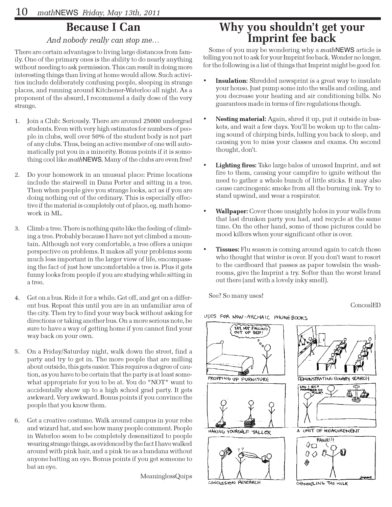### Because I Can

#### And nobody really can stop me…

There are certain advantages to living large distances from family. One of the primary ones is the ability to do nearly anything without needing to ask permission. This can result in doing more interesting things than living at home would allow. Such activities include deliberately confusing people, sleeping in strange places, and running around Kitchener-Waterloo all night. As a proponent of the absurd, I recommend a daily dose of the very strange.

- 1. Join a Club: Seriously. There are around 25000 undergrad students. Even with very high estimates for numbers of people in clubs, well over 50% of the student body is not part of any clubs. Thus, being an active member of one will automatically put you in a minority. Bonus points if it is something cool like mathNEWS. Many of the clubs are even free!
- 2. Do your homework in an unusual place: Prime locations include the stairwell in Dana Porter and sitting in a tree. Then when people give you strange looks, act as if you are doing nothing out of the ordinary. This is especially effective if the material is completely out of place, eg. math homework in ML.
- 3. Climb a tree. There is nothing quite like the feeling of climbing a tree. Probably because I have not yet climbed a mountain. Although not very comfortable, a tree offers a unique perspective on problems. It makes all your problems seem much less important in the larger view of life, encompassing the fact of just how uncomfortable a tree is. Plus it gets funny looks from people if you are studying while sitting in a tree.
- 4. Get on a bus. Ride it for a while. Get off, and get on a different bus. Repeat this until you are in an unfamiliar area of the city. Then try to find your way back without asking for directions or taking another bus. On a more serious note, be sure to have a way of getting home if you cannot find your way back on your own.
- 5. On a Friday/Saturday night, walk down the street, find a party and try to get in. The more people that are milling about outside, this gets easier. This requires a degree of caution, as you have to be certain that the party is at least somewhat appropriate for you to be at. You do \*NOT\* want to accidentally show up to a high school grad party. It gets awkward. Very awkward. Bonus points if you convince the people that you know them.
- 6. Get a creative costume. Walk around campus in your robe and wizard hat, and see how many people comment. People in Waterloo seem to be completely desensitized to people wearing strange things, as evidenced by the fact I have walked around with pink hair, and a pink tie as a bandana without anyone batting an eye. Bonus points if you get someone to bat an eye.

MeaninglessQuips

### Why you shouldn't get your Imprint fee back

Some of you may be wondering why a *math*NEWS article is telling you not to ask for your Imprint fee back. Wonder no longer, for the following is a list of things that Imprint might be good for.

- Insulation: Shredded newsprint is a great way to insulate your house. Just pump some into the walls and ceiling, and you decrease your heating and air conditioning bills. No guarantees made in terms of fire regulations though.
- Nesting material: Again, shred it up, put it outside in baskets, and wait a few days. You'll be woken up to the calming sound of chirping birds, lulling you back to sleep, and causing you to miss your classes and exams. On second thought, don't.
- Lighting fires: Take large bales of unused Imprint, and set fire to them, causing your campfire to ignite without the need to gather a whole bunch of little sticks. It may also cause carcinogenic smoke from all the burning ink. Try to stand upwind, and wear a respirator.
- Wallpaper: Cover those unsightly holes in your walls from that last drunken party you had, and recycle at the same time. On the other hand, some of those pictures could be mood killers when your significant other is over.
- **Tissues:** Flu season is coming around again to catch those who thought that winter is over. If you don't want to resort to the cardboard that passes as paper towelsin the washrooms, give the Imprint a try. Softer than the worst brand out there (and with a lovely inky smell).

See? So many uses!

ConcealED

USES FOR NOW-ARCHAIC PHONEBOOKS



CHANNELING THE HULK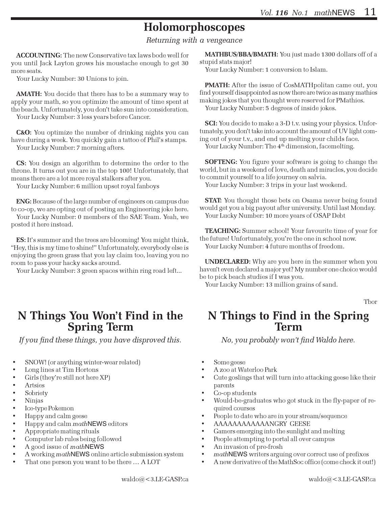# Holomorphoscopes

Returning with a vengeance

ACCOUNTING: The new Conservative tax laws bode well for you until Jack Layton grows his moustache enough to get 30 more seats.

Your Lucky Number: 30 Unions to join.

AMATH: You decide that there has to be a summary way to apply your math, so you optimize the amount of time spent at the beach. Unfortunately, you don't take sun into consideration. Your Lucky Number: 3 less years before Cancer.

C&O: You optimize the number of drinking nights you can have during a week. You quickly gain a tattoo of Phil's stamps. Your Lucky Number: 7 morning afters.

CS: You design an algorithm to determine the order to the throne. It turns out you are in the top 100! Unfortunately, that means there are a lot more royal stalkers after you.

Your Lucky Number: 6 million upset royal fanboys

ENG: Because of the large number of engineers on campus due to co-op, we are opting out of posting an Engineering joke here.

Your Lucky Number: 0 members of the SAE Team. Yeah, we posted it here instead.

ES: It's summer and the trees are blooming! You might think, "Hey, this is my time to shine!" Unfortunately, everybody else is enjoying the green grass that you lay claim too, leaving you no room to pass your hacky sacks around.

Your Lucky Number: 3 green spaces within ring road left...

### N Things You Won't Find in the Spring Term

If you find these things, you have disproved this.

- SNOW! (or anything winter-wear related)
- Long lines at Tim Hortons
- Girls (they're still not here XP)
- **Artsies**
- **Sobriety**
- Ninjas
- Ice-type Pokemon
- Happy and calm geese
- Happy and calm *math* NEWS editors
- Appropriate mating rituals
- Computer lab rules being followed
- A good issue of mathNEWS
- A working mathNEWS online article submission system
- That one person you want to be there ... A LOT

MATHBUS/BBA/BMATH: You just made 1300 dollars off of a stupid stats major!

Your Lucky Number: 1 conversion to Islam.

PMATH: After the issue of CosMATHpolitan came out, you find yourself disappointed as now there are twice as many mathies making jokes that you thought were reserved for PMathies. Your Lucky Number: 5 degrees of inside jokes.

SCI: You decide to make a 3-D t.v. using your physics. Unfortunately, you don't take into account the amount of UV light coming out of your t.v., and end up melting your childs face. Your Lucky Number: The 4<sup>th</sup> dimension, facemelting.

SOFTENG: You figure your software is going to change the world, but in a weekend of love, death and miracles, you decide to commit yourself to a life journey on salvia.

Your Lucky Number: 3 trips in your last weekend.

**STAT:** You thought those bets on Osama never being found would get you a big payout after university. Until last Monday. Your Lucky Number: 10 more years of OSAP Debt

TEACHING: Summer school! Your favourite time of year for the future! Unfortunately, you're the one in school now. Your Lucky Number: 4 future months of freedom.

UNDECLARED: Why are you here in the summer when you haven't even declared a major yet? My number one choice would be to pick beach studies if I was you.

Your Lucky Number: 13 million grains of sand.

Tbor

### N Things to Find in the Spring Term

No, you probably won't find Waldo here.

- Some geese
- A zoo at Waterloo Park
- Cute goslings that will turn into attacking geese like their parents
- Co-op students
- Would-be-graduates who got stuck in the fly-paper of required courses
- People to date who are in your stream/sequence
- AAAAAAAAAAAANGRY GEESE
- Gamers emerging into the sunlight and melting
- People attempting to portal all over campus
- An invasion of pre-frosh
- mathNEWS writers arguing over correct use of prefixes
- A new derivative of the MathSoc office (come check it out!)